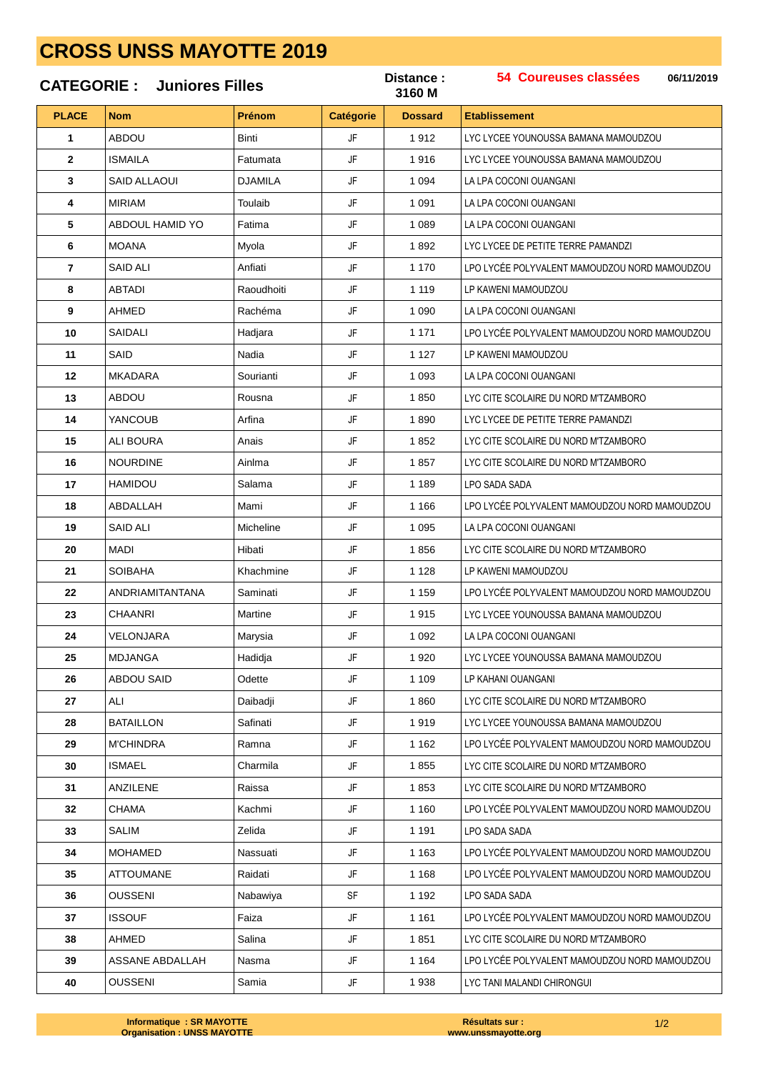## **CROSS UNSS MAYOTTE 2019**

|              | <b>CATEGORIE: Juniores Filles</b> |                |                  |                | 54 Coureuses classées<br>06/11/2019           |
|--------------|-----------------------------------|----------------|------------------|----------------|-----------------------------------------------|
| <b>PLACE</b> | <b>Nom</b>                        | Prénom         | <b>Catégorie</b> | <b>Dossard</b> | <b>Etablissement</b>                          |
| 1            | <b>ABDOU</b>                      | Binti          | JF               | 1912           | LYC LYCEE YOUNOUSSA BAMANA MAMOUDZOU          |
| $\mathbf{2}$ | <b>ISMAILA</b>                    | Fatumata       | JF               | 1916           | LYC LYCEE YOUNOUSSA BAMANA MAMOUDZOU          |
| 3            | SAID ALLAOUI                      | <b>DJAMILA</b> | JF               | 1 0 9 4        | LA LPA COCONI OUANGANI                        |
| 4            | <b>MIRIAM</b>                     | Toulaib        | JF               | 1 0 9 1        | LA LPA COCONI OUANGANI                        |
| 5            | ABDOUL HAMID YO                   | Fatima         | JF               | 1 0 8 9        | LA LPA COCONI OUANGANI                        |
| 6            | <b>MOANA</b>                      | Myola          | JF               | 1892           | LYC LYCEE DE PETITE TERRE PAMANDZI            |
| 7            | SAID ALI                          | Anfiati        | JF               | 1 1 7 0        | LPO LYCÉE POLYVALENT MAMOUDZOU NORD MAMOUDZOU |
| 8            | ABTADI                            | Raoudhoiti     | JF               | 1 1 1 9        | LP KAWENI MAMOUDZOU                           |
| 9            | <b>AHMED</b>                      | Rachéma        | JF               | 1 0 9 0        | LA LPA COCONI OUANGANI                        |
| 10           | <b>SAIDALI</b>                    | Hadjara        | JF               | 1 1 7 1        | LPO LYCÉE POLYVALENT MAMOUDZOU NORD MAMOUDZOU |
| 11           | SAID                              | Nadia          | JF               | 1 1 2 7        | LP KAWENI MAMOUDZOU                           |
| 12           | <b>MKADARA</b>                    | Sourianti      | JF               | 1 0 9 3        | LA LPA COCONI OUANGANI                        |
| 13           | ABDOU                             | Rousna         | JF               | 1850           | LYC CITE SCOLAIRE DU NORD M'TZAMBORO          |
| 14           | <b>YANCOUB</b>                    | Arfina         | JF               | 1890           | LYC LYCEE DE PETITE TERRE PAMANDZI            |
| 15           | ALI BOURA                         | Anais          | JF               | 1852           | LYC CITE SCOLAIRE DU NORD M'TZAMBORO          |
| 16           | <b>NOURDINE</b>                   | Ainlma         | JF               | 1857           | LYC CITE SCOLAIRE DU NORD M'TZAMBORO          |
| 17           | HAMIDOU                           | Salama         | JF               | 1 1 8 9        | LPO SADA SADA                                 |
| 18           | ABDALLAH                          | Mami           | JF               | 1 1 6 6        | LPO LYCÉE POLYVALENT MAMOUDZOU NORD MAMOUDZOU |
| 19           | SAID ALI                          | Micheline      | JF               | 1 0 9 5        | LA LPA COCONI OUANGANI                        |
| 20           | <b>MADI</b>                       | Hibati         | JF               | 1856           | LYC CITE SCOLAIRE DU NORD M'TZAMBORO          |
| 21           | <b>SOIBAHA</b>                    | Khachmine      | JF               | 1 1 2 8        | LP KAWENI MAMOUDZOU                           |
| 22           | ANDRIAMITANTANA                   | Saminati       | JF               | 1 1 5 9        | LPO LYCÉE POLYVALENT MAMOUDZOU NORD MAMOUDZOU |
| 23           | CHAANRI                           | Martine        | JF               | 1915           | LYC LYCEE YOUNOUSSA BAMANA MAMOUDZOU          |
| 24           | VELONJARA                         | Marysia        | JF               | 1 0 9 2        | LA LPA COCONI OUANGANI                        |
| 25           | <b>MDJANGA</b>                    | Hadidja        | JF               | 1920           | LYC LYCEE YOUNOUSSA BAMANA MAMOUDZOU          |
| 26           | <b>ABDOU SAID</b>                 | Odette         | JF               | 1 1 0 9        | LP KAHANI OUANGANI                            |
| 27           | ALI                               | Daibadji       | JF               | 1860           | LYC CITE SCOLAIRE DU NORD M'TZAMBORO          |
| 28           | <b>BATAILLON</b>                  | Safinati       | JF               | 1919           | LYC LYCEE YOUNOUSSA BAMANA MAMOUDZOU          |
| 29           | <b>M'CHINDRA</b>                  | Ramna          | JF               | 1 1 6 2        | LPO LYCÉE POLYVALENT MAMOUDZOU NORD MAMOUDZOU |
| 30           | <b>ISMAEL</b>                     | Charmila       | JF               | 1855           | LYC CITE SCOLAIRE DU NORD M'TZAMBORO          |
| 31           | ANZILENE                          | Raissa         | JF               | 1853           | LYC CITE SCOLAIRE DU NORD M'TZAMBORO          |
| 32           | <b>CHAMA</b>                      | Kachmi         | JF               | 1 1 6 0        | LPO LYCÉE POLYVALENT MAMOUDZOU NORD MAMOUDZOU |
| 33           | <b>SALIM</b>                      | Zelida         | JF               | 1 1 9 1        | LPO SADA SADA                                 |
| 34           | MOHAMED                           | Nassuati       | JF               | 1 1 6 3        | LPO LYCÉE POLYVALENT MAMOUDZOU NORD MAMOUDZOU |
| 35           | <b>ATTOUMANE</b>                  | Raidati        | JF               | 1 1 6 8        | LPO LYCÉE POLYVALENT MAMOUDZOU NORD MAMOUDZOU |
| 36           | <b>OUSSENI</b>                    | Nabawiya       | <b>SF</b>        | 1 1 9 2        | LPO SADA SADA                                 |
| 37           | <b>ISSOUF</b>                     | Faiza          | JF               | 1 1 6 1        | LPO LYCÉE POLYVALENT MAMOUDZOU NORD MAMOUDZOU |
| 38           | AHMED                             | Salina         | JF               | 1851           | LYC CITE SCOLAIRE DU NORD M'TZAMBORO          |
| 39           | ASSANE ABDALLAH                   | Nasma          | JF               | 1 1 6 4        | LPO LYCÉE POLYVALENT MAMOUDZOU NORD MAMOUDZOU |
| 40           | <b>OUSSENI</b>                    | Samia          | <b>JF</b>        | 1938           | LYC TANI MALANDI CHIRONGUI                    |